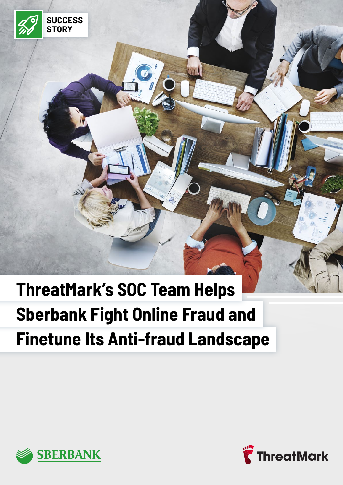

**Material** 



**SUCCESS STORY**

 $\mathbb{Z}_2^\circ$ 

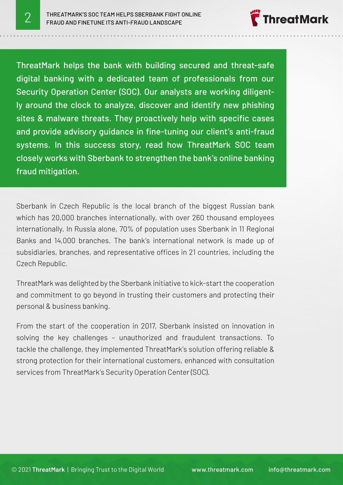

ThreatMark helps the bank with building secured and threat-safe digital banking with a dedicated team of professionals from our Security Operation Center (SOC). Our analysts are working diligently around the clock to analyze, discover and identify new phishing sites & malware threats. They proactively help with specific cases and provide advisory guidance in fine-tuning our client's anti-fraud systems. In this success story, read how ThreatMark SOC team closely works with Sberbank to strengthen the bank's online banking fraud mitigation.

Sberbank in Czech Republic is the local branch of the biggest Russian bank which has 20,000 branches internationally, with over 260 thousand employees internationally. In Russia alone, 70% of population uses Sberbank in 11 Regional Banks and 14,000 branches. The bank's international network is made up of subsidiaries, branches, and representative offices in 21 countries, including the Czech Republic.

ThreatMark was delighted by the Sberbank initiative to kick-start the cooperation and commitment to go beyond in trusting their customers and protecting their personal & business banking.

From the start of the cooperation in 2017, Sberbank insisted on innovation in solving the key challenges – unauthorized and fraudulent transactions. To tackle the challenge, they implemented ThreatMark's solution offering reliable & strong protection for their international customers, enhanced with consultation services from ThreatMark's Security Operation Center (SOC).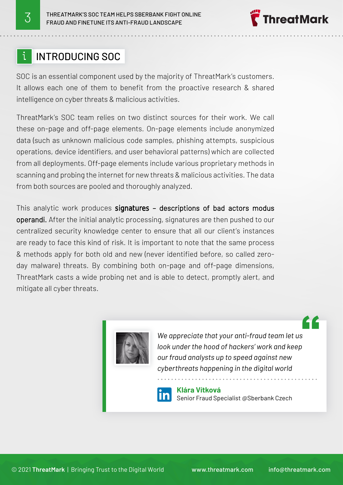## INTRODUCING SOC

SOC is an essential component used by the majority of ThreatMark's customers. It allows each one of them to benefit from the proactive research & shared intelligence on cyber threats & malicious activities.

ThreatMark's SOC team relies on two distinct sources for their work. We call these on-page and off-page elements. On-page elements include anonymized data (such as unknown malicious code samples, phishing attempts, suspicious operations, device identifiers, and user behavioral patterns) which are collected from all deployments. Off-page elements include various proprietary methods in scanning and probing the internet for new threats & malicious activities. The data from both sources are pooled and thoroughly analyzed.

This analytic work produces signatures - descriptions of bad actors modus operandi. After the initial analytic processing, signatures are then pushed to our centralized security knowledge center to ensure that all our client's instances are ready to face this kind of risk. It is important to note that the same process & methods apply for both old and new (never identified before, so called zeroday malware) threats. By combining both on-page and off-page dimensions, ThreatMark casts a wide probing net and is able to detect, promptly alert, and mitigate all cyber threats.



*We appreciate that your anti-fraud team let us look under the hood of hackers' work and keep our fraud analysts up to speed against new cyberthreats happening in the digital world*



**Klára Vítková** Senior Fraud Specialist @Sberbank Czech

**preatMark** 

Z Z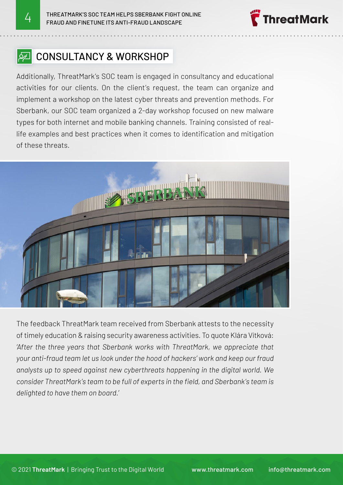

## **P** CONSULTANCY & WORKSHOP

Additionally, ThreatMark's SOC team is engaged in consultancy and educational activities for our clients. On the client's request, the team can organize and implement a workshop on the latest cyber threats and prevention methods. For Sberbank, our SOC team organized a 2-day workshop focused on new malware types for both internet and mobile banking channels. Training consisted of reallife examples and best practices when it comes to identification and mitigation of these threats.



The feedback ThreatMark team received from Sberbank attests to the necessity of timely education & raising security awareness activities. To quote Klára Vítková: *'After the three years that Sberbank works with ThreatMark, we appreciate that your anti-fraud team let us look under the hood of hackers' work and keep our fraud analysts up to speed against new cyberthreats happening in the digital world. We consider ThreatMark's team to be full of experts in the field, and Sberbank's team is delighted to have them on board.'*